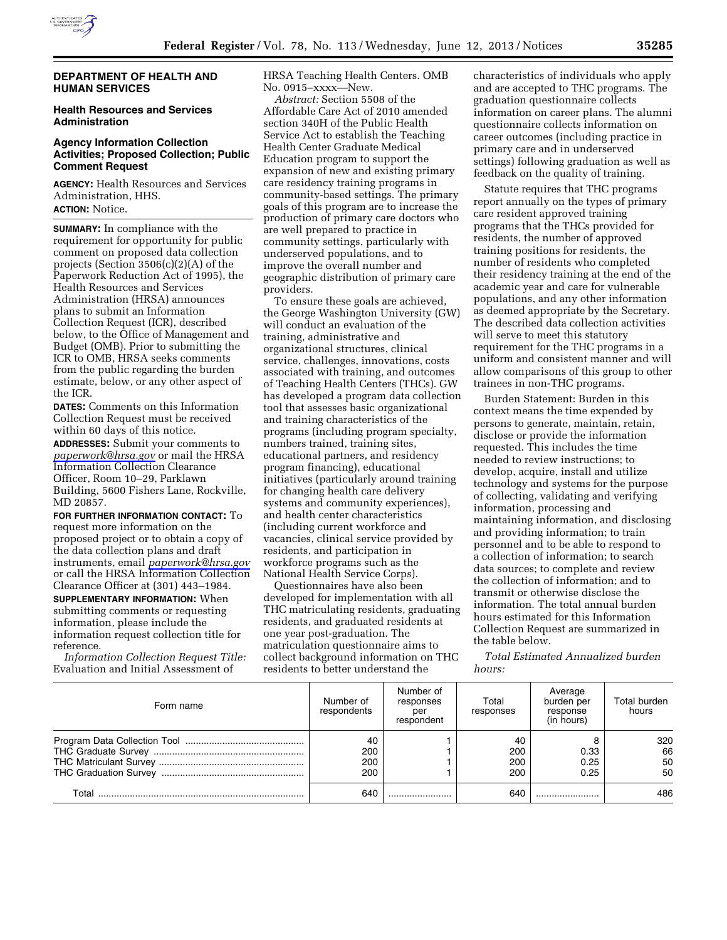

### **DEPARTMENT OF HEALTH AND HUMAN SERVICES**

### **Health Resources and Services Administration**

#### **Agency Information Collection Activities; Proposed Collection; Public Comment Request**

**AGENCY:** Health Resources and Services Administration, HHS. **ACTION:** Notice.

**SUMMARY:** In compliance with the requirement for opportunity for public comment on proposed data collection projects (Section 3506(c)(2)(A) of the Paperwork Reduction Act of 1995), the Health Resources and Services Administration (HRSA) announces plans to submit an Information Collection Request (ICR), described below, to the Office of Management and Budget (OMB). Prior to submitting the ICR to OMB, HRSA seeks comments from the public regarding the burden estimate, below, or any other aspect of the ICR.

**DATES:** Comments on this Information Collection Request must be received within 60 days of this notice.

**ADDRESSES:** Submit your comments to *[paperwork@hrsa.gov](mailto:paperwork@hrsa.gov)* or mail the HRSA Information Collection Clearance Officer, Room 10–29, Parklawn Building, 5600 Fishers Lane, Rockville, MD 20857.

**FOR FURTHER INFORMATION CONTACT:** To request more information on the proposed project or to obtain a copy of the data collection plans and draft instruments, email *[paperwork@hrsa.gov](mailto:paperwork@hrsa.gov)*  or call the HRSA Information Collection Clearance Officer at (301) 443–1984. **SUPPLEMENTARY INFORMATION:** When submitting comments or requesting

information, please include the information request collection title for reference. *Information Collection Request Title:* 

Evaluation and Initial Assessment of

HRSA Teaching Health Centers. OMB No. 0915–xxxx—New.

*Abstract:* Section 5508 of the Affordable Care Act of 2010 amended section 340H of the Public Health Service Act to establish the Teaching Health Center Graduate Medical Education program to support the expansion of new and existing primary care residency training programs in community-based settings. The primary goals of this program are to increase the production of primary care doctors who are well prepared to practice in community settings, particularly with underserved populations, and to improve the overall number and geographic distribution of primary care providers.

To ensure these goals are achieved, the George Washington University (GW) will conduct an evaluation of the training, administrative and organizational structures, clinical service, challenges, innovations, costs associated with training, and outcomes of Teaching Health Centers (THCs). GW has developed a program data collection tool that assesses basic organizational and training characteristics of the programs (including program specialty, numbers trained, training sites, educational partners, and residency program financing), educational initiatives (particularly around training for changing health care delivery systems and community experiences), and health center characteristics (including current workforce and vacancies, clinical service provided by residents, and participation in workforce programs such as the National Health Service Corps).

Questionnaires have also been developed for implementation with all THC matriculating residents, graduating residents, and graduated residents at one year post-graduation. The matriculation questionnaire aims to collect background information on THC residents to better understand the

characteristics of individuals who apply and are accepted to THC programs. The graduation questionnaire collects information on career plans. The alumni questionnaire collects information on career outcomes (including practice in primary care and in underserved settings) following graduation as well as feedback on the quality of training.

Statute requires that THC programs report annually on the types of primary care resident approved training programs that the THCs provided for residents, the number of approved training positions for residents, the number of residents who completed their residency training at the end of the academic year and care for vulnerable populations, and any other information as deemed appropriate by the Secretary. The described data collection activities will serve to meet this statutory requirement for the THC programs in a uniform and consistent manner and will allow comparisons of this group to other trainees in non-THC programs.

Burden Statement: Burden in this context means the time expended by persons to generate, maintain, retain, disclose or provide the information requested. This includes the time needed to review instructions; to develop, acquire, install and utilize technology and systems for the purpose of collecting, validating and verifying information, processing and maintaining information, and disclosing and providing information; to train personnel and to be able to respond to a collection of information; to search data sources; to complete and review the collection of information; and to transmit or otherwise disclose the information. The total annual burden hours estimated for this Information Collection Request are summarized in the table below.

*Total Estimated Annualized burden hours:* 

| Form name | Number of<br>respondents | Number of<br>responses<br>per<br>respondent | Total<br>responses      | Average<br>burden per<br>response<br>(in hours) | Total burden<br>hours |
|-----------|--------------------------|---------------------------------------------|-------------------------|-------------------------------------------------|-----------------------|
|           | 40<br>200<br>200<br>200  |                                             | 40<br>200<br>200<br>200 | 0.33<br>0.25<br>0.25                            | 320<br>66<br>50<br>50 |
| Total     | 640                      |                                             | 640                     |                                                 | 486                   |